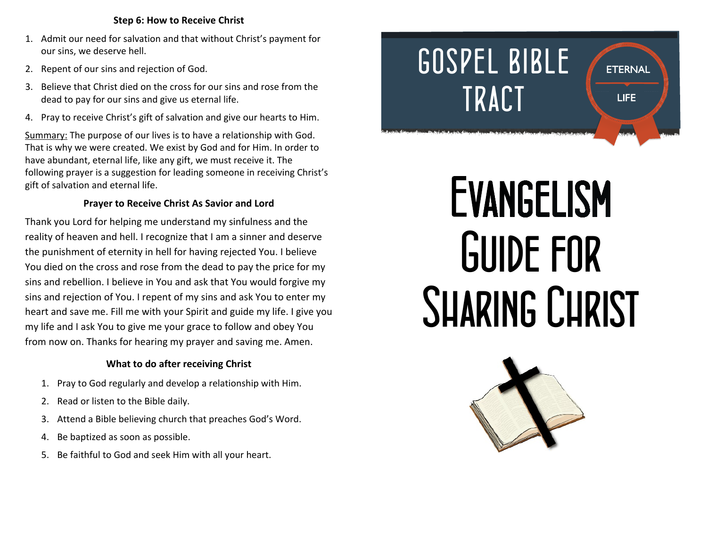#### **Step 6: How to Receive Christ**

- 1. Admit our need for salvation and that without Christ's payment for our sins, we deserve hell.
- 2. Repent of our sins and rejection of God.
- 3. Believe that Christ died on the cross for our sins and rose from the dead to pay for our sins and give us eternal life.
- 4. Pray to receive Christ's gift of salvation and give our hearts to Him.

Summary: The purpose of our lives is to have a relationship with God. That is why we were created. We exist by God and for Him. In order to have abundant, eternal life, like any gift, we must receive it. The following prayer is a suggestion for leading someone in receiving Christ's gift of salvation and eternal life.

# **Prayer to Receive Christ As Savior and Lord**

Thank you Lord for helping me understand my sinfulness and the reality of heaven and hell. I recognize that I am a sinner and deserve the punishment of eternity in hell for having rejected You. I believe You died on the cross and rose from the dead to pay the price for my sins and rebellion. I believe in You and ask that You would forgive my sins and rejection of You. I repent of my sins and ask You to enter my heart and save me. Fill me with your Spirit and guide my life. I give you my life and I ask You to give me your grace to follow and obey You from now on. Thanks for hearing my prayer and saving me. Amen.

# **What to do after receiving Christ**

- 1. Pray to God regularly and develop a relationship with Him.
- 2. Read or listen to the Bible daily.
- 3. Attend a Bible believing church that preaches God's Word.
- 4. Be baptized as soon as possible.
- 5. Be faithful to God and seek Him with all your heart.

# *GOSPEL BIBLE* **ETERNAL** *TRACT* **LIFE**

# **EVANGELISM** *Guide for Sharing Christ*